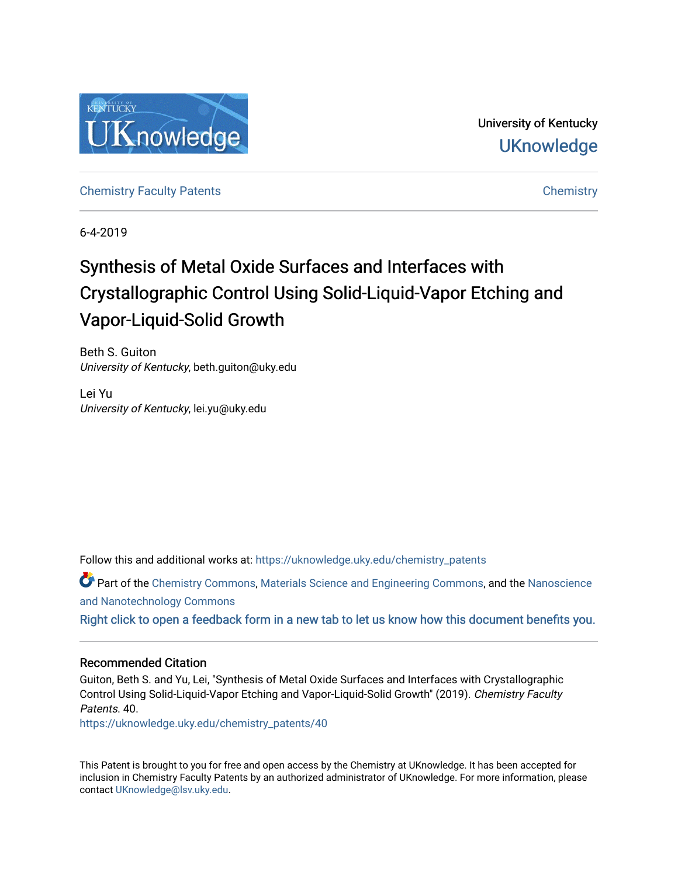

University of Kentucky **UKnowledge** 

[Chemistry Faculty Patents](https://uknowledge.uky.edu/chemistry_patents) **Chemistry** Chemistry

6-4-2019

# Synthesis of Metal Oxide Surfaces and Interfaces with Crystallographic Control Using Solid-Liquid-Vapor Etching and Vapor-Liquid-Solid Growth

Beth S. Guiton University of Kentucky, beth.guiton@uky.edu

Lei Yu University of Kentucky, lei.yu@uky.edu

Follow this and additional works at: [https://uknowledge.uky.edu/chemistry\\_patents](https://uknowledge.uky.edu/chemistry_patents?utm_source=uknowledge.uky.edu%2Fchemistry_patents%2F40&utm_medium=PDF&utm_campaign=PDFCoverPages)

Part of the [Chemistry Commons,](http://network.bepress.com/hgg/discipline/131?utm_source=uknowledge.uky.edu%2Fchemistry_patents%2F40&utm_medium=PDF&utm_campaign=PDFCoverPages) [Materials Science and Engineering Commons,](http://network.bepress.com/hgg/discipline/285?utm_source=uknowledge.uky.edu%2Fchemistry_patents%2F40&utm_medium=PDF&utm_campaign=PDFCoverPages) and the Nanoscience [and Nanotechnology Commons](http://network.bepress.com/hgg/discipline/313?utm_source=uknowledge.uky.edu%2Fchemistry_patents%2F40&utm_medium=PDF&utm_campaign=PDFCoverPages)

[Right click to open a feedback form in a new tab to let us know how this document benefits you.](https://uky.az1.qualtrics.com/jfe/form/SV_9mq8fx2GnONRfz7)

### Recommended Citation

Guiton, Beth S. and Yu, Lei, "Synthesis of Metal Oxide Surfaces and Interfaces with Crystallographic Control Using Solid-Liquid-Vapor Etching and Vapor-Liquid-Solid Growth" (2019). Chemistry Faculty Patents. 40.

[https://uknowledge.uky.edu/chemistry\\_patents/40](https://uknowledge.uky.edu/chemistry_patents/40?utm_source=uknowledge.uky.edu%2Fchemistry_patents%2F40&utm_medium=PDF&utm_campaign=PDFCoverPages) 

This Patent is brought to you for free and open access by the Chemistry at UKnowledge. It has been accepted for inclusion in Chemistry Faculty Patents by an authorized administrator of UKnowledge. For more information, please contact [UKnowledge@lsv.uky.edu](mailto:UKnowledge@lsv.uky.edu).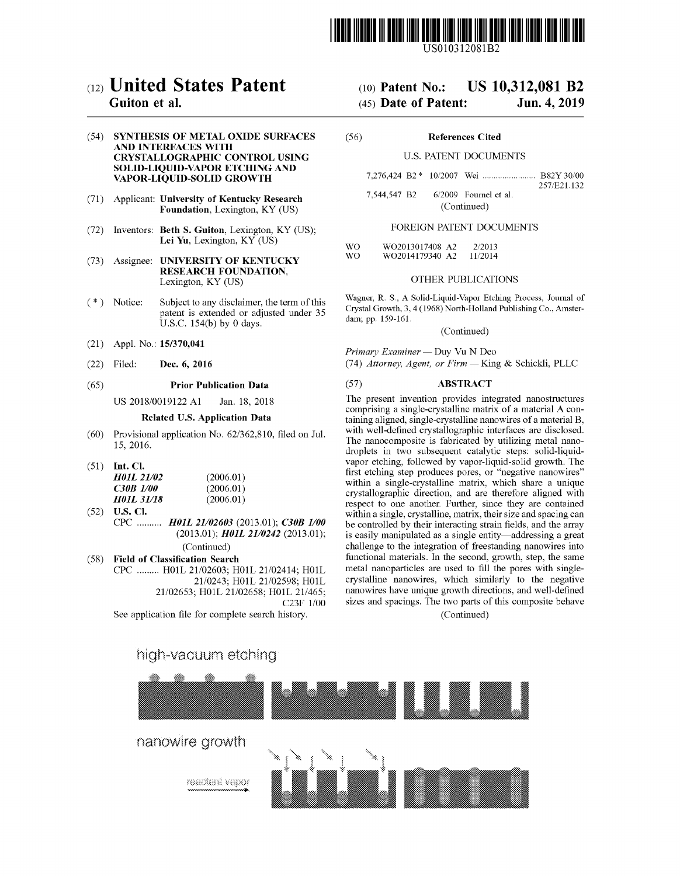

US010312081B2

## c12) **United States Patent**

### **Guiton et al.**

### (54) **SYNTHESIS OF METAL OXIDE SURFACES AND INTERFACES WITH CRYSTALLOGRAPHIC CONTROL USING SOLID-LIQUID-VAPOR ETCHING AND VAPOR-LIQUID-SOLID GROWTH**

- (71) Applicant: **University of Kentucky Research Foundation,** Lexington, KY (US)
- (72) Inventors: **Beth S. Guiton,** Lexington, KY (US); **Lei Yu,** Lexington, KY (US)
- (73) Assignee: **UNIVERSITY OF KENTUCKY RESEARCH FOUNDATION,**  Lexington, KY (US)
- $(*)$  Notice: Subject to any disclaimer, the term of this patent is extended or adjusted under 35 U.S.C. 154(b) by 0 days.
- (21) Appl. No.: **15/370,041**
- (22) Filed: **Dec. 6, 2016**

#### (65) **Prior Publication Data**

US 2018/0019122 A1 Jan. 18, 2018

#### **Related U.S. Application Data**

- (60) Provisional application No. 62/362,810, filed on Jul. 15, 2016.
- (51) **Int. Cl.**

| (2006.01) |
|-----------|
| (2006.01) |
| (2006.01) |
|           |

(52) **U.S. Cl.**  CPC .......... *H0JL 21/02603* (2013.01); *C30B 1100*  (2013.01); *H0JL 2110242* (2013.01); (Continued)

( 58) **Field of Classification Search**  CPC ......... H01L 21/02603; H0lL 21/02414; H0lL 21/0243; H0lL 21/02598; H0lL 21/02653; H0lL 21/02658; H0lL 21/465; C23F 1/00

See application file for complete search history.

## (IO) **Patent No.: US 10,312,081 B2**

### (45) **Date of Patent: Jun.4,2019**

(56) **References Cited** 

### U.S. PATENT DOCUMENTS

7,276,424 B2 \* 10/2007 Wei . B82Y 30/00 257 /E21.132 7,544,547 B2 6/2009 Fournel et al. (Continued)

### FOREIGN PATENT DOCUMENTS

WO WO W02013017408 A2 2/2013 W02014179340 A2 11/2014

### OTHER PUBLICATIONS

Wagner, R. S., A Solid-Liquid-Vapor Etching Process, Journal of Crystal Growth, 3, 4 (1968) North-Holland Publishing Co., Amsterdam; pp. 159-161.

(Continued)

*Primary Examiner* - Duy Vu N Deo (74) *Attorney, Agent, or Firm* - King & Schickli, PLLC

### (57) **ABSTRACT**

The present invention provides integrated nanostructures comprising a single-crystalline matrix of a material A containing aligned, single-crystalline nanowires of a material B, with well-defined crystallographic interfaces are disclosed. The nanocomposite is fabricated by utilizing metal nanodroplets in two subsequent catalytic steps: solid-liquidvapor etching, followed by vapor-liquid-solid growth. The first etching step produces pores, or "negative nanowires" within a single-crystalline matrix, which share a unique crystallographic direction, and are therefore aligned with respect to one another. Further, since they are contained within a single, crystalline, matrix, their size and spacing can be controlled by their interacting strain fields, and the array is easily manipulated as a single entity-addressing a great challenge to the integration of freestanding nanowires into functional materials. In the second, growth, step, the same metal nanoparticles are used to fill the pores with singlecrystalline nanowires, which similarly to the negative nanowires have unique growth directions, and well-defined sizes and spacings. The two parts of this composite behave

(Continued)

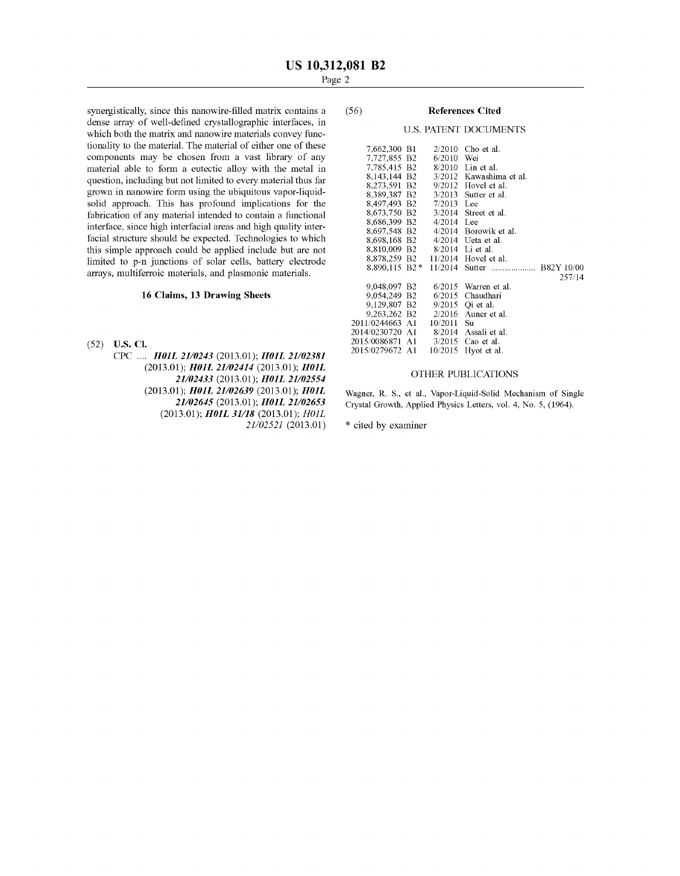synergistically, since this nanowire-filled matrix contains a dense array of well-defined crystallographic interfaces, in which both the matrix and nanowire materials convey functionality to the material. The material of either one of these components may be chosen from a vast library of any material able to form a eutectic alloy with the metal in question, including but not limited to every material thus far grown in nanowire form using the ubiquitous vapor-liquidsolid approach. This has profound implications for the fabrication of any material intended to contain a functional interface, since high interfacial areas and high quality interfacial structure should be expected. Technologies to which this simple approach could be applied include but are not limited to p-n junctions of solar cells, battery electrode arrays, multiferroic materials, and plasmonic materials.

### **16 Claims, 13 Drawing Sheets**

(52) **U.S. Cl.** 

CPC .... *H0JL 2110243* (2013.01); *H0JL 21/02381*  (2013.01); *H0JL 21/02414* (2013.01); *H0JL 21/02433* (2013.01); *H0JL 21/02554*  (2013.01); *H0JL 21/02639* (2013.01); *H0JL 21/02645* (2013.01); *H0JL 21/02653*  (2013.01); *H0JL 31/18* (2013.01); *HOlL 21/02521* (2013.01)

### (56) **References Cited**

### U.S. PATENT DOCUMENTS

| 7,662,300 B1            | 2/2010       | Cho et al.              |
|-------------------------|--------------|-------------------------|
| 7,727,855 B2            | 6/2010       | Wei                     |
| 7.785.415 B2            |              | 8/2010 Lin et al.       |
| 8,143,144 B2            |              | 3/2012 Kawashima et al. |
| 8,273,591 B2            | 9/2012       | Hovel et al.            |
| 8.389.387 B2            | 3/2013       | Sutter et al.           |
| 8,497,493 B2            | 7/2013       | Lee                     |
| 8,673,750 B2            | 3/2014       | Street et al.           |
| 8,686,399 B2            | $4/2014$ Lee |                         |
| 8,697,548 B2            |              | $4/2014$ Borowik et al. |
| 8,698,168 B2            |              | $4/2014$ Ueta et al.    |
| 8.810.009 B2            |              | 8/2014 Li et al.        |
| 8,878,259 B2            |              | $11/2014$ Hovel et al.  |
| $8,890,115 \text{ B}2*$ | 11/2014      |                         |
|                         |              | 257/14                  |
| 9,048,097 B2            | 6/2015       | Warren et al.           |
| 9.054.249 B2            | 6/2015       | Chaudhari               |
| 9.129.807 B2            | 9/2015       | Oi et al.               |
| 9.263.262 B2            | 2/2016       | Auner et al.            |
| 2011/0244663 A1         | 10/2011      | Su                      |
| 2014/0230720 A1         |              | 8/2014 Assali et al.    |
| 2015/0086871 A1         | 3/2015       | Cao et al.              |
| 2015/0279672 A1         | 10/2015      | Hyot et al.             |
|                         |              |                         |

### OTHER PUBLICATIONS

Wagner, R. S., et al., Vapor-Liquid-Solid Mechanism of Single Crystal Growth, Applied Physics Letters, vol. 4, No. 5, (1964).

\* cited by examiner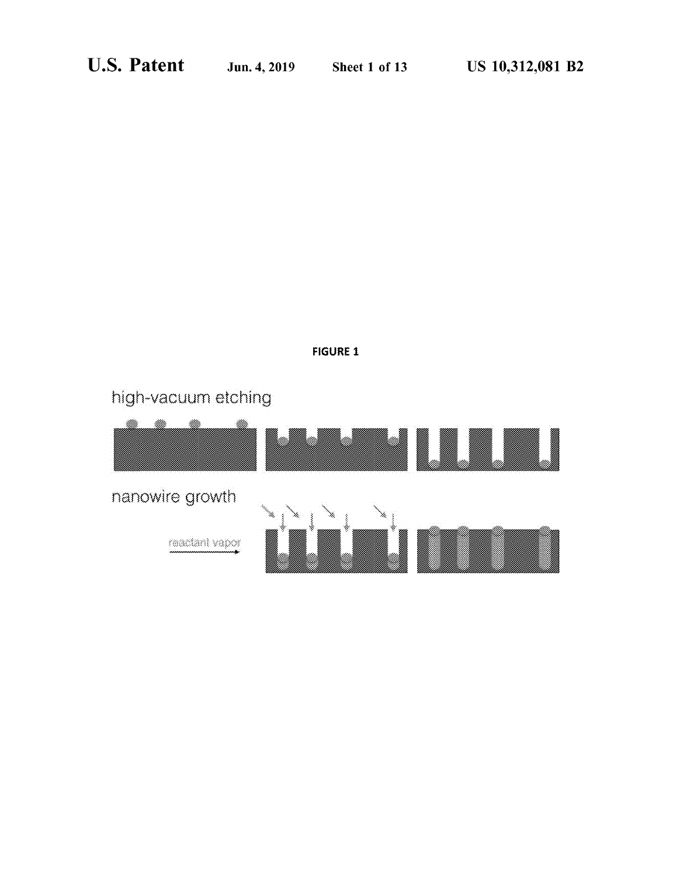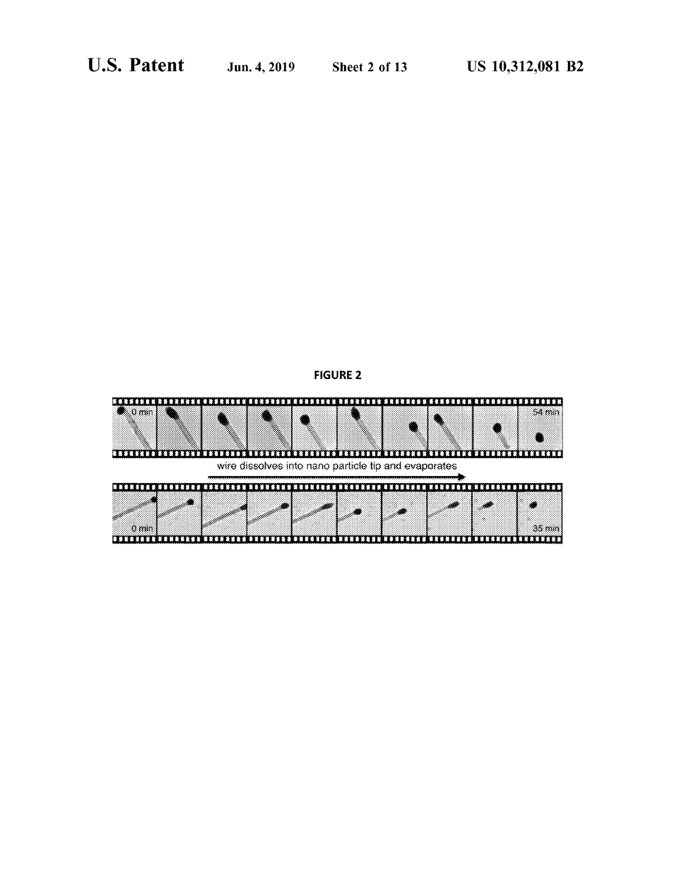

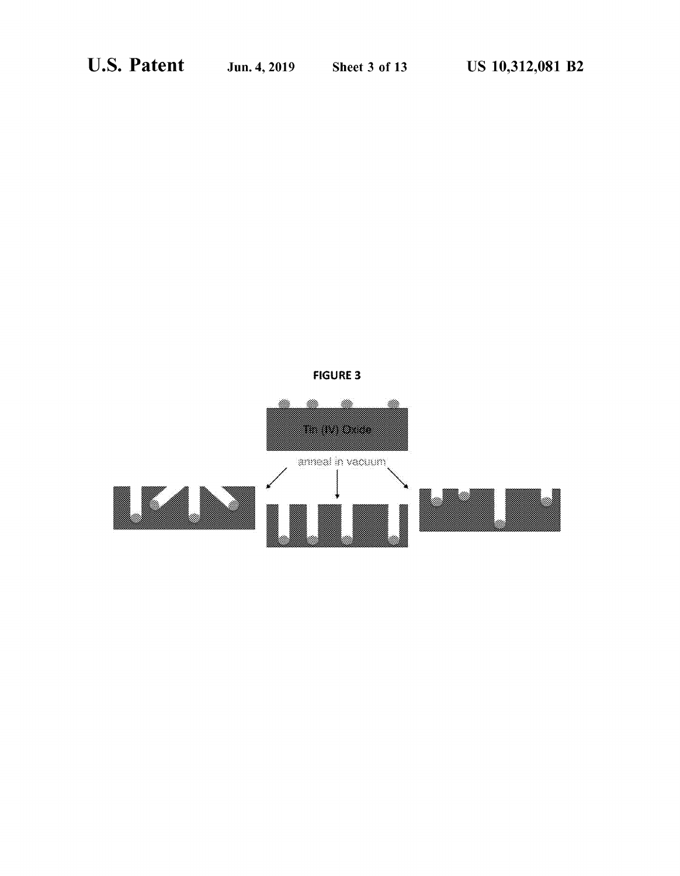

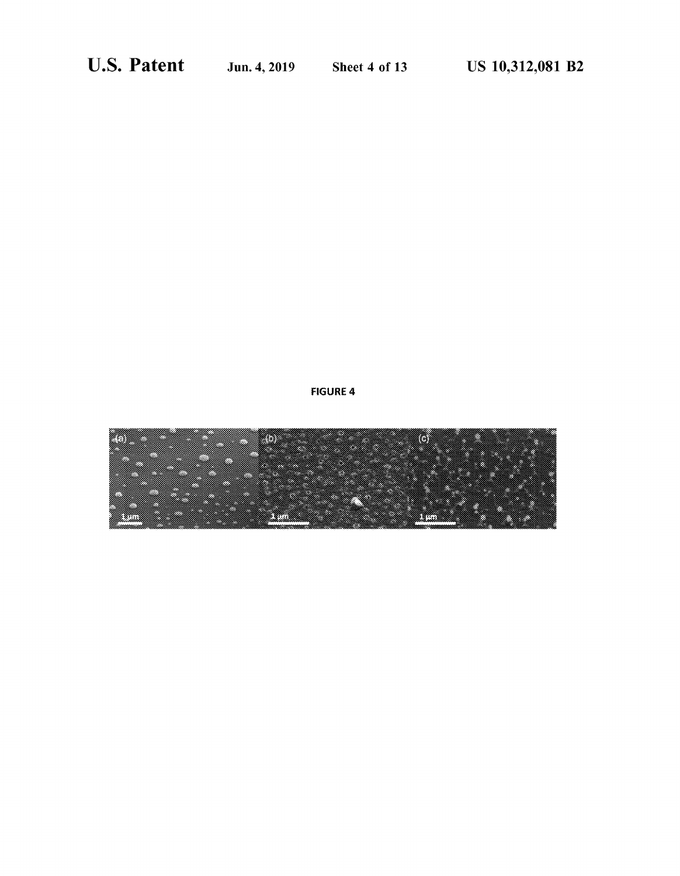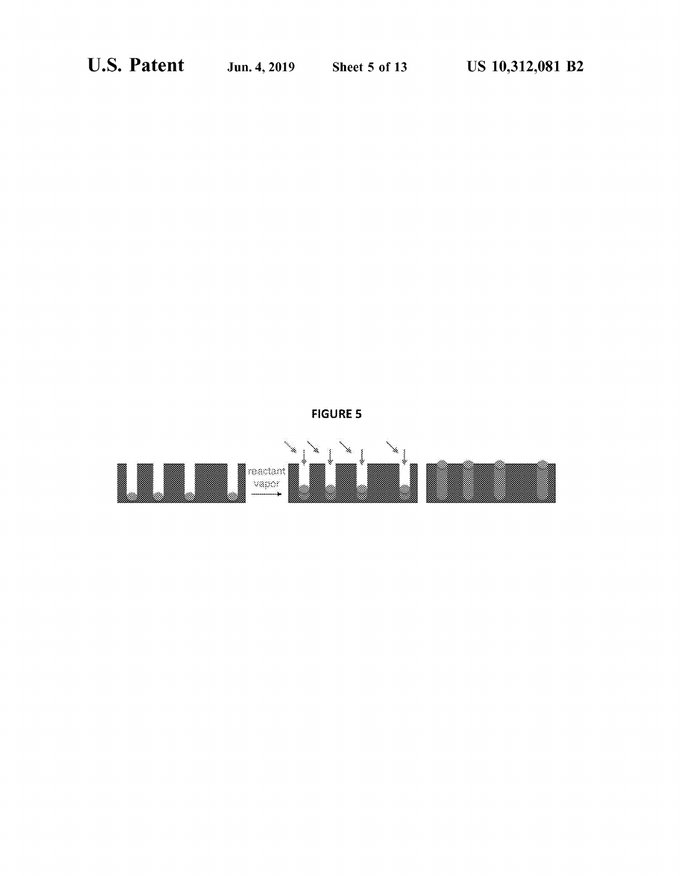

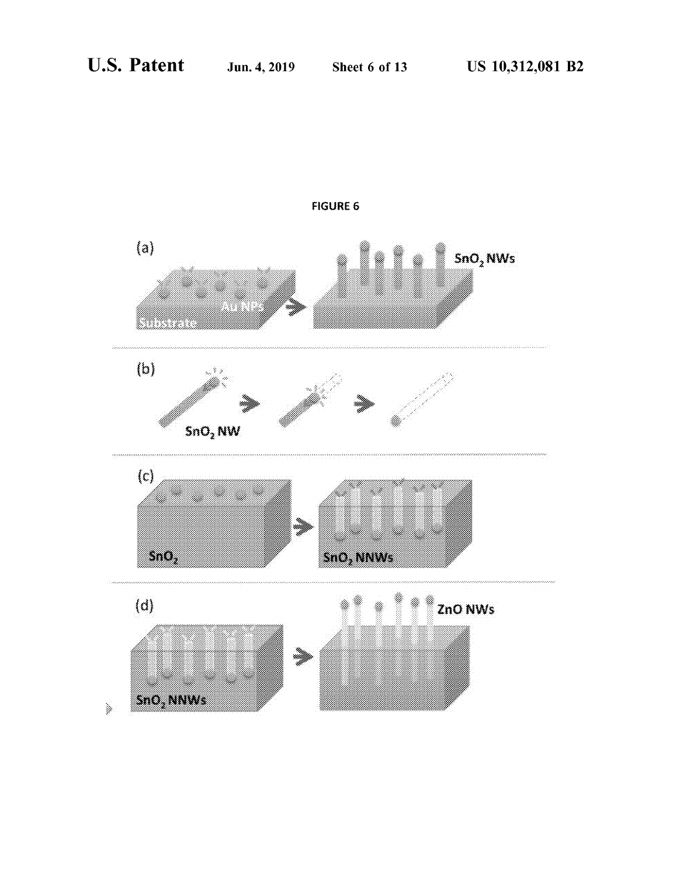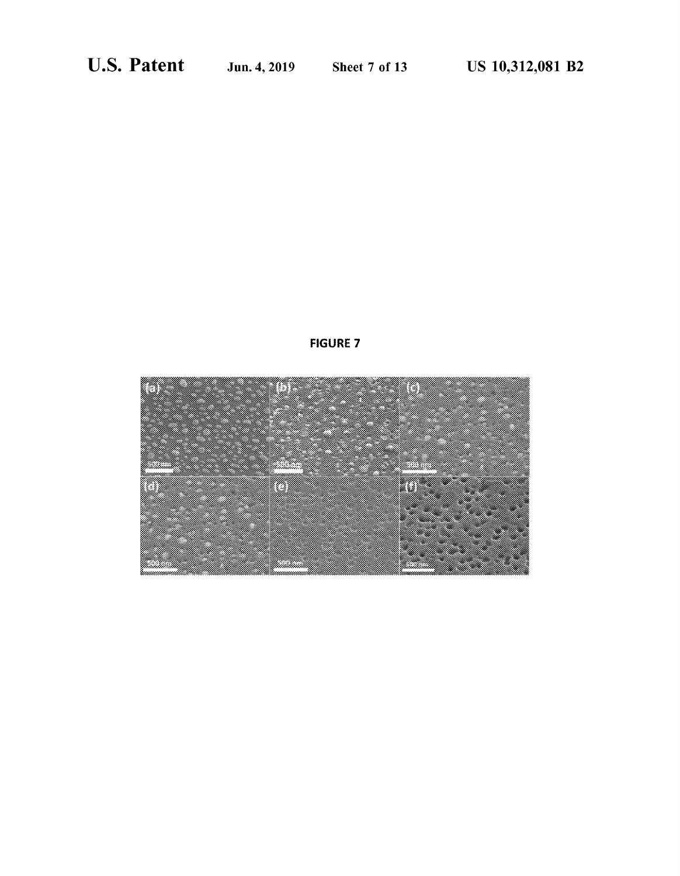

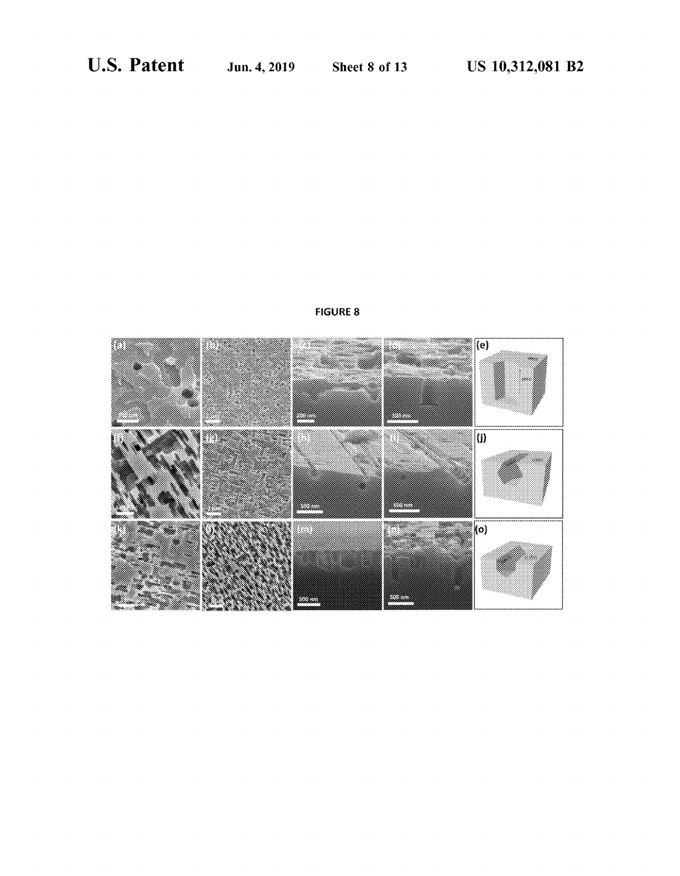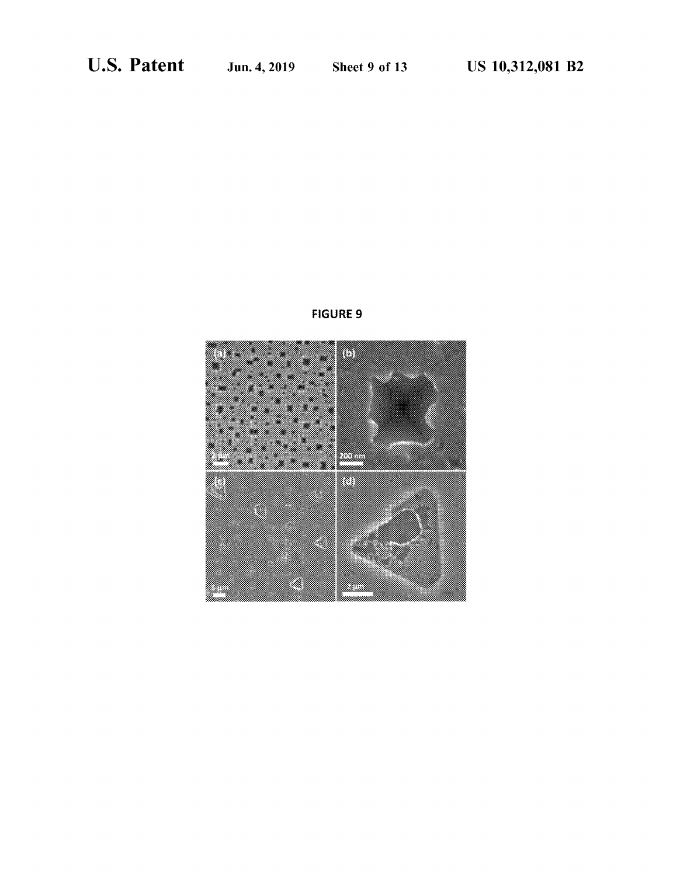

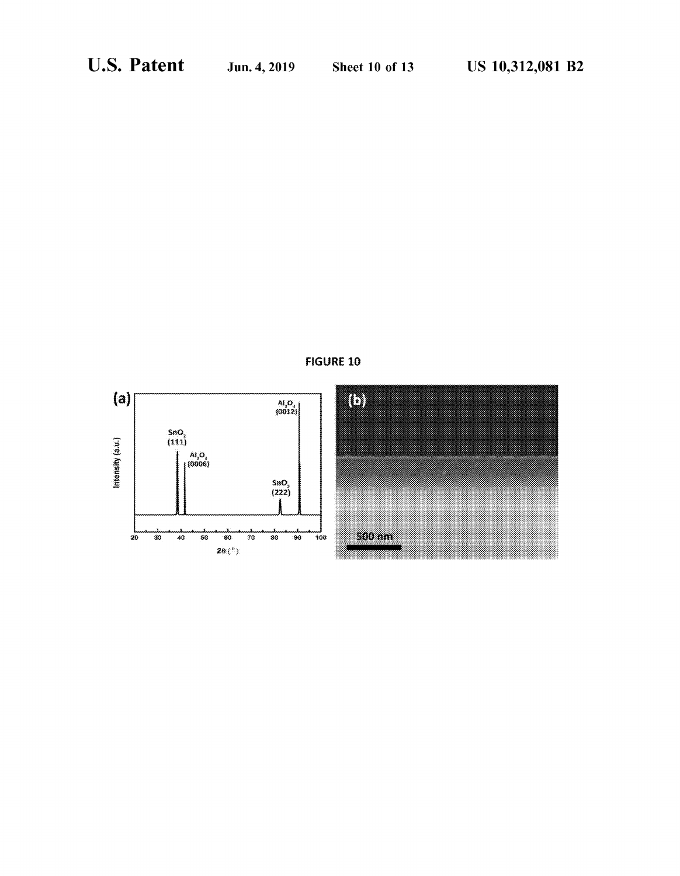

**FIGURE 10**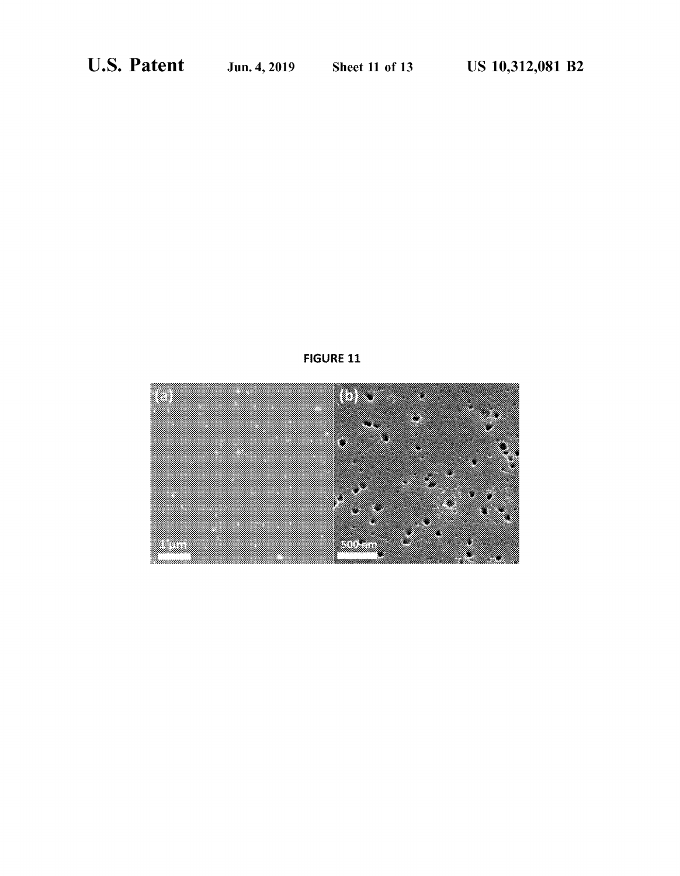

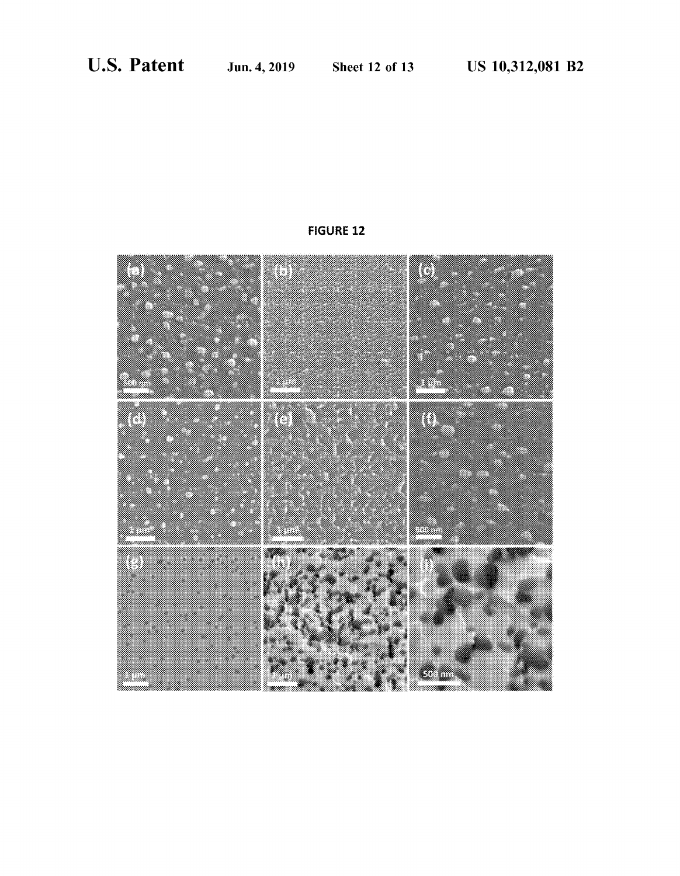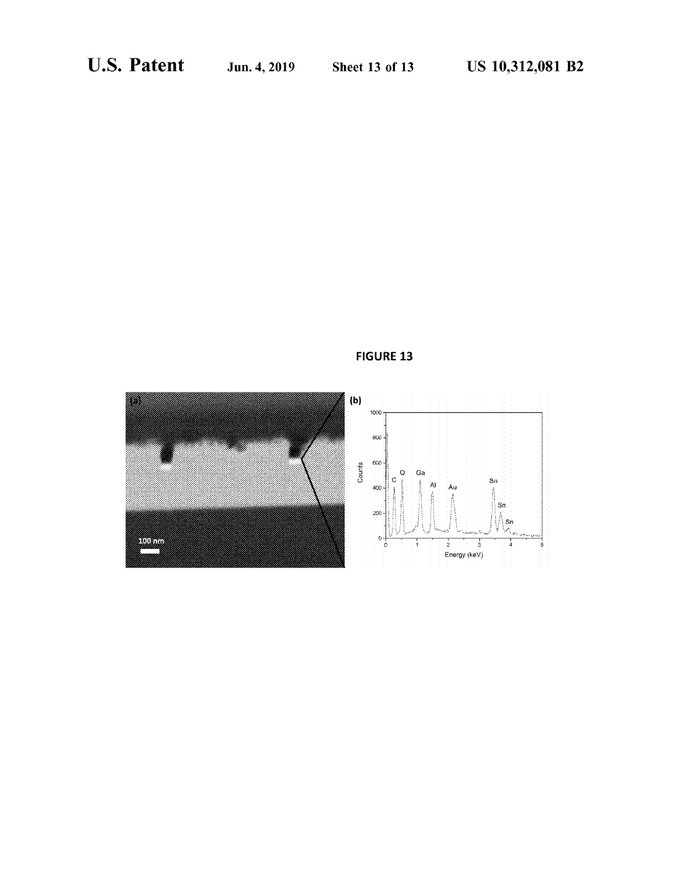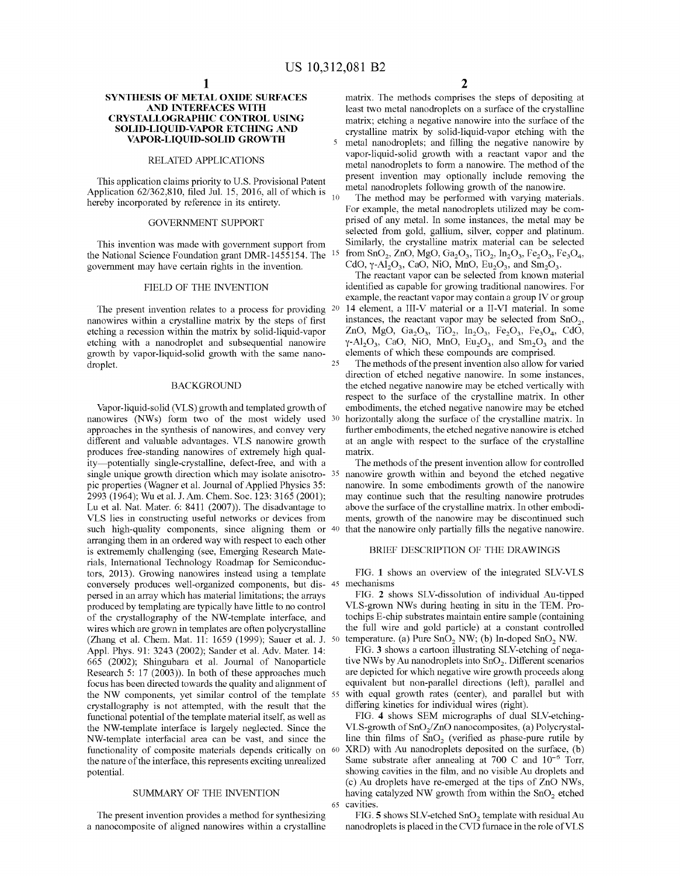### **SYNTHESIS OF METAL OXIDE SURFACES AND INTERFACES WITH CRYSTALLOGRAPHIC CONTROL USING SOLID-LIQUID-VAPOR ETCHING AND VAPOR-LIQUID-SOLID GROWTH**

### RELATED APPLICATIONS

This application claims priority to U.S. Provisional Patent Application 62/362,810, filed Jul. 15, 2016, all of which is hereby incorporated by reference in its entirety.

### GOVERNMENT SUPPORT

This invention was made with government support from the National Science Foundation grant DMR-1455154. The govermnent may have certain rights in the invention.

### FIELD OF THE INVENTION

The present invention relates to a process for providing <sup>20</sup> nanowires within a crystalline matrix by the steps of first etching a recession within the matrix by solid-liquid-vapor etching with a nanodroplet and subsequential nanowire growth by vapor-liquid-solid growth with the same nanodroplet. 25

### BACKGROUND

Vapor-liquid-solid (VLS) growth and templated growth of nanowires (NWs) form two of the most widely used 30 approaches in the synthesis of nanowires, and convey very different and valuable advantages. VLS nanowire growth produces free-standing nanowires of extremely high quality-potentially single-crystalline, defect-free, and with a single unique growth direction which may isolate anisotro- 35 pie properties (Wagner et al. Journal of Applied Physics 35: 2993 (1964); Wu et al. J. Am. Chem. Soc. 123: 3165 (2001); Lu et al. Nat. Mater. 6: 8411 (2007)). The disadvantage to VLS lies in constructing useful networks or devices from such high-quality components, since aligning them or  $40$ arranging them in an ordered way with respect to each other is extrememly challenging (see, Emerging Research Materials, International Technology Roadmap for Semiconductors, 2013). Growing nanowires instead using a template conversely produces well-organized components, but dispersed in an array which has material limitations; the arrays produced by templating are typically have little to no control of the crystallography of the NW-template interface, and wires which are grown in templates are often polycrystalline (Zhang et al. Chem. Mat. 11: 1659 (1999); Sauer et al. J. 50 Appl. Phys. 91: 3243 (2002); Sander et al. Adv. Mater. 14: 665 (2002); Shingubara et al. Journal of Nanoparticle Research 5: 17 (2003)). In both of these approaches much focus has been directed towards the quality and alignment of the NW components, yet similar control of the template 55 crystallography is not attempted, with the result that the functional potential of the template material itself, as well as the NW-template interface is largely neglected. Since the NW-template interfacial area can be vast, and since the functionality of composite materials depends critically on 60 the nature of the interface, this represents exciting unrealized potential.

### SUMMARY OF THE INVENTION

The present invention provides a method for synthesizing a nanocomposite of aligned nanowires within a crystalline

matrix. The methods comprises the steps of depositing at least two metal nanodroplets on a surface of the crystalline matrix; etching a negative nanowire into the surface of the crystalline matrix by solid-liquid-vapor etching with the 5 metal nanodroplets; and filling the negative nanowire by vapor-liquid-solid growth with a reactant vapor and the metal nanodroplets to form a nanowire. The method of the present invention may optionally include removing the metal nanodroplets following growth of the nanowire.

The method may be performed with varying materials. For example, the metal nanodroplets utilized may be comprised of any metal. In some instances, the metal may be selected from gold, gallium, silver, copper and platinum. Similarly, the crystalline matrix material can be selected from SnO<sub>2</sub>, ZnO, MgO, Ga<sub>2</sub>O<sub>3</sub>, TiO<sub>2</sub>, In<sub>2</sub>O<sub>3</sub>, Fe<sub>2</sub>O<sub>3</sub>, Fe<sub>3</sub>O<sub>4</sub>, CdO,  $\gamma$ -Al<sub>2</sub>O<sub>3</sub>, CaO, NiO, MnO, Eu<sub>2</sub>O<sub>3</sub>, and Sm<sub>2</sub>O<sub>3</sub>.

The reactant vapor can be selected from known material identified as capable for growing traditional nanowires. For example, the reactant vapor may contain a group IV or group 14 element, a III-V material or a II-VI material. In some instances, the reactant vapor may be selected from  $SnO<sub>2</sub>$ , ZnO, MgO, Ga<sub>2</sub>O<sub>3</sub>, TiO<sub>2</sub>, In<sub>2</sub>O<sub>3</sub>, Fe<sub>2</sub>O<sub>3</sub>, Fe<sub>3</sub>O<sub>4</sub>, CdO<sub>2</sub>  $\gamma$ -Al<sub>2</sub>O<sub>3</sub>, CaO, NiO, MnO, Eu<sub>2</sub>O<sub>3</sub>, and Sm<sub>2</sub>O<sub>3</sub> and the elements of which these compounds are comprised.

The methods of the present invention also allow for varied direction of etched negative nanowire. In some instances, the etched negative nanowire may be etched vertically with respect to the surface of the crystalline matrix. In other embodiments, the etched negative nanowire may be etched horizontally along the surface of the crystalline matrix. In further embodiments, the etched negative nanowire is etched at an angle with respect to the surface of the crystalline matrix.

The methods of the present invention allow for controlled nanowire growth within and beyond the etched negative nanowire. In some embodiments growth of the nanowire may continue such that the resulting nanowire protrudes above the surface of the crystalline matrix. In other embodiments, growth of the nanowire may be discontinued such that the nanowire only partially fills the negative nanowire.

### BRIEF DESCRIPTION OF THE DRAWINGS

FIG. **1** shows an overview of the integrated SLV-VLS 45 mechanisms

FIG. **2** shows SLY-dissolution of individual Au-tipped VLS-grown NWs during heating in situ in the TEM. Protochips E-chip substrates maintain entire sample (containing the full wire and gold particle) at a constant controlled temperature. (a) Pure  $SnO<sub>2</sub> NW$ ; (b) In-doped  $SnO<sub>2</sub> NW$ .

FIG. **3** shows a cartoon illustrating SLY-etching of negative NWs by Au nanodroplets into  $SnO<sub>2</sub>$ . Different scenarios are depicted for which negative wire growth proceeds along equivalent but non-parallel directions (left), parallel and with equal growth rates (center), and parallel but with differing kinetics for individual wires (right).

FIG. **4** shows SEM micrographs of dual SLV-etching-VLS-growth of  $SnO<sub>2</sub>/ZnO$  nanocomposites, (a) Polycrystalline thin films of  $SnO<sub>2</sub>$  (verified as phase-pure rutile by XRD) with Au nanodroplets deposited on the surface, (b) Same substrate after annealing at 700 C and  $10^{-6}$  Torr, showing cavities in the film, and no visible Au droplets and (c) Au droplets have re-emerged at the tips of ZnO NWs, having catalyzed NW growth from within the  $SnO<sub>2</sub>$  etched 65 cavities.

FIG. 5 shows SLV-etched SnO<sub>2</sub> template with residual Au nanodroplets is placed in the CVD furnace in the role of VLS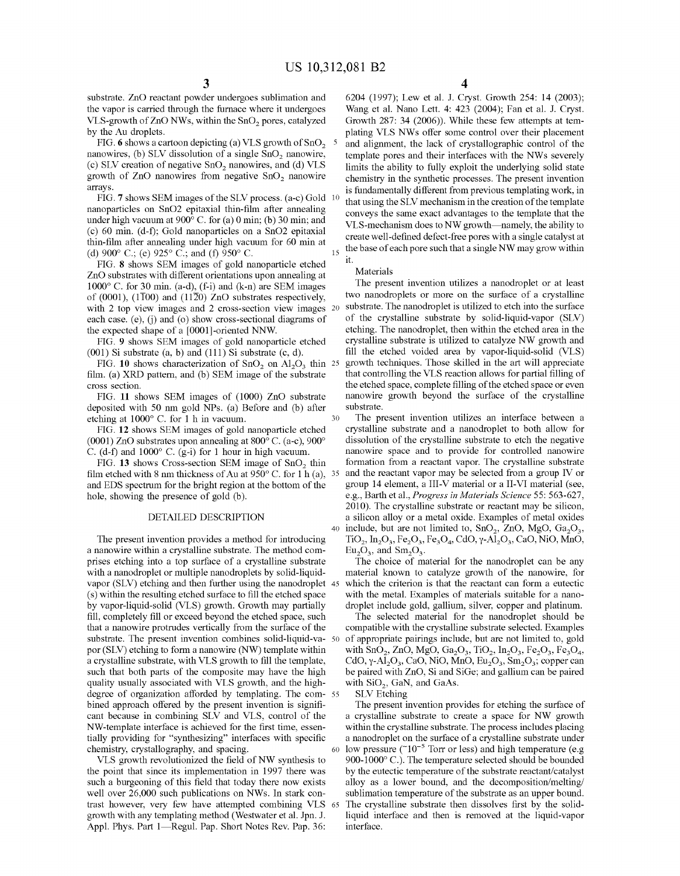substrate. ZnO reactant powder undergoes sublimation and the vapor is carried through the furnace where it undergoes VLS-growth of ZnO NWs, within the SnO<sub>2</sub> pores, catalyzed by the Au droplets.

FIG. 6 shows a cartoon depicting (a) VLS growth of SnO<sub>2</sub> 5 nanowires, (b) SLV dissolution of a single  $SnO<sub>2</sub>$  nanowire, (c) SLV creation of negative  $SnO<sub>2</sub>$  nanowires, and (d) VLS growth of ZnO nanowires from negative  $SnO<sub>2</sub>$  nanowire arrays.

FIG. **7** shows SEM images of the SLY process. (a-c) Gold nanoparticles on SnO2 epitaxial thin-film after annealing under high vacuum at 900° C. for (a) 0 min; (b) 30 min; and (c) 60 min. (d-f); Gold nanoparticles on a SnO2 epitaxial thin-film after annealing under high vacuum for 60 min at (d) 900° C.; (e) 925° C.; and (f) 950° C.

FIG. **8** shows SEM images of gold nanoparticle etched ZnO substrates with different orientations upon annealing at  $1000^{\circ}$  C. for 30 min. (a-d), (f-i) and (k-n) are SEM images of (0001), (1T00) and (11 $\overline{2}0$ ) ZnO substrates respectively, with 2 top view images and 2 cross-section view images 20 each case. (e), (j) and (o) show cross-sectional diagrams of the expected shape of a [0001]-oriented NNW.

FIG. **9** shows SEM images of gold nanoparticle etched (001) Si substrate (a, b) and (111) Si substrate (c, d).

FIG. **10** shows characterization of SnO<sub>2</sub> on  $A1_2O_3$  thin 25 film. (a) XRD pattern, and (b) SEM image of the substrate cross section.

FIG. **11** shows SEM images of (1000) ZnO substrate deposited with 50 nm gold NPs. (a) Before and (b) after etching at 1000° C. for 1 h in vacuum.

FIG. **12** shows SEM images of gold nanoparticle etched (0001) ZnO substrates upon annealing at 800° C. (a-c), 900° C. (d-f) and 1000° C. (g-i) for 1 hour in high vacuum.

FIG. 13 shows Cross-section SEM image of SnO<sub>2</sub> thin film etched with 8 nm thickness of Au at  $950^{\circ}$  C. for 1 h (a), 35 and EDS spectrum for the bright region at the bottom of the hole, showing the presence of gold (b).

### DETAILED DESCRIPTION

The present invention provides a method for introducing a nanowire within a crystalline substrate. The method comprises etching into a top surface of a crystalline substrate with a nanodroplet or multiple nanodroplets by solid-liquidvapor (SLV) etching and then further using the nanodroplet 45 (s) within the resulting etched surface to fill the etched space by vapor-liquid-solid (VLS) growth. Growth may partially fill, completely fill or exceed beyond the etched space, such that a nanowire protrudes vertically from the surface of the substrate. The present invention combines solid-liquid-va- 50 por (SLY) etching to form a nanowire (NW) template within a crystalline substrate, with VLS growth to fill the template, such that both parts of the composite may have the high quality usually associated with VLS growth, and the highdegree of organization afforded by templating. The com- <sup>55</sup> bined approach offered by the present invention is significant because in combining SLY and VLS, control of the NW-template interface is achieved for the first time, essentially providing for "synthesizing" interfaces with specific chemistry, crystallography, and spacing.

VLS growth revolutionized the field of NW synthesis to the point that since its implementation in 1997 there was such a burgeoning of this field that today there now exists well over 26,000 such publications on NWs. In stark contrast however, very few have attempted combining VLS 65 growth with any templating method (Westwater et al. Jpn. J. Appl. Phys. Part 1-Regul. Pap. Short Notes Rev. Pap. 36:

**4** 

6204 (1997); Lew et al. J. Cryst. Growth 254: 14 (2003); Wang et al. Nano Lett. 4: 423 (2004); Fan et al. J. Cryst. Growth 287: 34 (2006)). While these few attempts at templating VLS NWs offer some control over their placement and alignment, the lack of crystallographic control of the template pores and their interfaces with the NWs severely limits the ability to fully exploit the underlying solid state chemistry in the synthetic processes. The present invention is fundamentally different from previous templating work, in that using the SLV mechanism in the creation of the template conveys the same exact advantages to the template that the VLS-mechanism does to NW growth--namely, the ability to create well-defined defect-free pores with a single catalyst at the base of each pore such that a single NW may grow within

### Materials

it.

30

The present invention utilizes a nanodroplet or at least two nanodroplets or more on the surface of a crystalline substrate. The nanodroplet is utilized to etch into the surface of the crystalline substrate by solid-liquid-vapor (SLY) etching. The nanodroplet, then within the etched area in the crystalline substrate is utilized to catalyze NW growth and fill the etched voided area by vapor-liquid-solid (VLS) growth techniques. Those skilled in the art will appreciate that controlling the VLS reaction allows for partial filling of the etched space, complete filling of the etched space or even nanowire growth beyond the surface of the crystalline substrate.

The present invention utilizes an interface between a crystalline substrate and a nanodroplet to both allow for dissolution of the crystalline substrate to etch the negative nanowire space and to provide for controlled nanowire formation from a reactant vapor. The crystalline substrate and the reactant vapor may be selected from a group IV or group 14 element, a III-V material or a II-VI material (see, e.g., Barth et al., *Progress in Materials Science* 55: 563-627, 2010). The crystalline substrate or reactant may be silicon, a silicon alloy or a metal oxide. Examples of metal oxides 40 include, but are not limited to,  $SnO<sub>2</sub>$ ,  $ZnO$ ,  $MgO$ ,  $Ga<sub>2</sub>O<sub>3</sub>$ , TiO<sub>2</sub>, In<sub>2</sub>O<sub>3</sub>, Fe<sub>2</sub>O<sub>3</sub>, Fe<sub>3</sub>O<sub>4</sub>, CdO, y-Al<sub>2</sub>O<sub>3</sub>, CaO, NiO, MnO,  $Eu<sub>2</sub>O<sub>3</sub>$ , and  $Sm<sub>2</sub>O<sub>3</sub>$ .

The choice of material for the nanodroplet can be any material known to catalyze growth of the nanowire, for which the criterion is that the reactant can form a eutectic with the metal. Examples of materials suitable for a nanodroplet include gold, gallium, silver, copper and platinum.

The selected material for the nanodroplet should be compatible with the crystalline substrate selected. Examples of appropriate pairings include, but are not limited to, gold with  $\text{SnO}_2$ , ZnO, MgO, Ga<sub>2</sub>O<sub>3</sub>, TiO<sub>2</sub>, In<sub>2</sub>O<sub>3</sub>, Fe<sub>2</sub>O<sub>3</sub>, Fe<sub>3</sub>O<sub>4</sub>, CdO,  $\gamma$ -Al<sub>2</sub>O<sub>3</sub>, CaO, NiO, MnO, Eu<sub>2</sub>O<sub>3</sub>, Sm<sub>2</sub>O<sub>3</sub>; copper can be paired with ZnO, Si and SiGe; and gallium can be paired with  $SiO<sub>2</sub>$ , GaN, and GaAs.

SLY Etching

The present invention provides for etching the surface of a crystalline substrate to create a space for NW growth within the crystalline substrate. The process includes placing a nanodroplet on the surface of a crystalline substrate under 60 low pressure ( $\tilde{c}$ 10<sup>-5</sup> Torr or less) and high temperature (e.g 900-1000° C.). The temperature selected should be bounded by the eutectic temperature of the substrate reactant/catalyst alloy as a lower bound, and the decomposition/melting/ sublimation temperature of the substrate as an upper bound. The crystalline substrate then dissolves first by the solidliquid interface and then is removed at the liquid-vapor interface.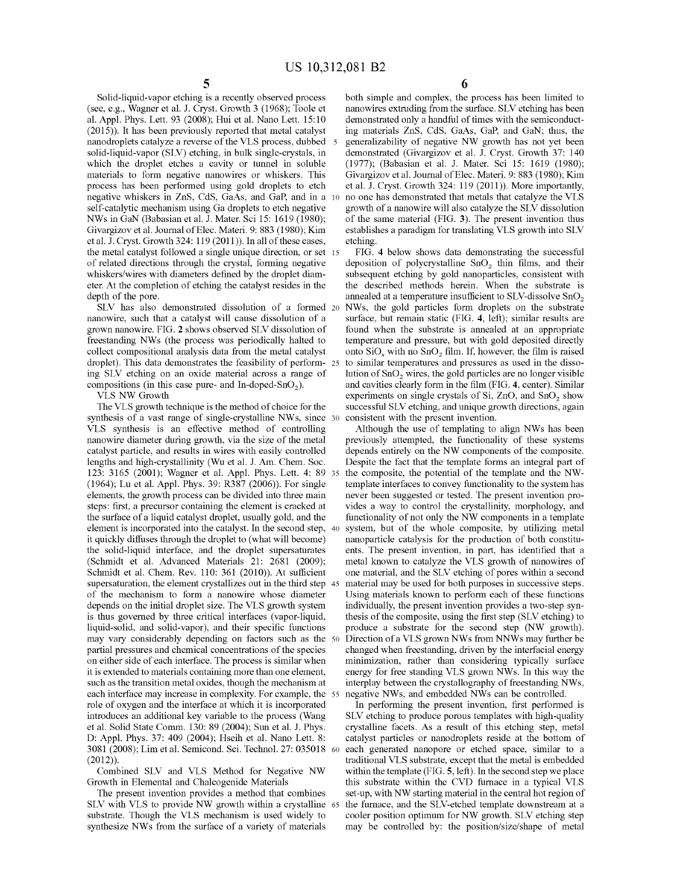Solid-liquid-vapor etching is a recently observed process (see, e.g., Wagner et al. J. Cryst. Growth 3 (1968); Toole et al. Appl. Phys. Lett. 93 (2008); Hui et al. Nano Lett. 15: 10 (2015)). It has been previously reported that metal catalyst nanodroplets catalyze a reverse of the YLS process, dubbed 5 solid-liquid-vapor (SLY) etching, in bulk single-crystals, in which the droplet etches a cavity or tunnel in soluble materials to form negative nanowires or whiskers. This process has been performed using gold droplets to etch negative whiskers in ZnS, CdS, GaAs, and GaP, and in a 10 self-catalytic mechanism using Ga droplets to etch negative NWs in GaN (Babasian et al. J. Mater. Sci 15: 1619 (1980); Givargizov et al. Journal of Elec. Materi. 9: 883 (1980); Kim et al. J. Cryst. Growth  $324: 119(2011)$ . In all of these cases, the metal catalyst followed a single unique direction, or set 15 of related directions through the crystal, forming negative whiskers/wires with diameters defined by the droplet diameter. At the completion of etching the catalyst resides in the depth of the pore.

SLY has also demonstrated dissolution of a formed 20 nanowire, such that a catalyst will cause dissolution of a grown nanowire. FIG. **2** shows observed SLY dissolution of freestanding NWs (the process was periodically halted to collect compositional analysis data from the metal catalyst droplet). This data demonstrates the feasibility of performing SLY etching on an oxide material across a range of compositions (in this case pure- and In-doped-SnO<sub>2</sub>).

YLS NW Growth

The YLS growth technique is the method of choice for the synthesis of a vast range of single-crystalline NWs, since 30 YLS synthesis is an effective method of controlling nanowire diameter during growth, via the size of the metal catalyst particle, and results in wires with easily controlled lengths and high-crystallinity (Wu et al. J. Am. Chem. Soc. 123: 3165 (2001); Wagner et al. Appl. Phys. Lett. 4: 89 (1964); Lu et al. Appl. Phys. 39: R387 (2006)). For single elements, the growth process can be divided into three main steps: first, a precursor containing the element is cracked at the surface of a liquid catalyst droplet, usually gold, and the element is incorporated into the catalyst. In the second step, it quickly diffuses through the droplet to (what will become) the solid-liquid interface, and the droplet supersaturates (Schmidt et al. Advanced Materials 21: 2681 (2009); Schmidt et al. Chem. Rev. 110: 361 (2010)). At sufficient supersaturation, the element crystallizes out in the third step 45 of the mechanism to form a nanowire whose diameter depends on the initial droplet size. The YLS growth system is thus governed by three critical interfaces (vapor-liquid, liquid-solid, and solid-vapor), and their specific functions may vary considerably depending on factors such as the partial pressures and chemical concentrations of the species on either side of each interface. The process is similar when it is extended to materials containing more than one element, such as the transition metal oxides, though the mechanism at each interface may increase in complexity. For example, the 55 role of oxygen and the interface at which it is incorporated introduces an additional key variable to the process (Wang et al. Solid State Comm. 130: 89 (2004); Sun et al. J. Phys. D: Appl. Phys. 37: 409 (2004); Hseih et al. Nano Lett. 8: 3081 (2008); Lim et al. Semicond. Sci. Technol. 27: 035018 (2012)).

Combined SLY and YLS Method for Negative NW Growth in Elemental and Chalcogenide Materials

The present invention provides a method that combines SLV with VLS to provide NW growth within a crystalline 65 substrate. Though the YLS mechanism is used widely to synthesize NWs from the surface of a variety of materials

**6** 

both simple and complex, the process has been limited to nanowires extruding from the surface. SLY etching has been demonstrated only a handful of times with the semiconducting materials ZnS, CdS, GaAs, GaP, and GaN; thus, the generalizability of negative NW growth has not yet been demonstrated (Givargizov et al. J. Cryst. Growth 37: 140 (1977); (Babasian et al. J. Mater. Sci 15: 1619 (1980); Givargizov et al. Journal of Elec. Materi. 9: 883 (1980); Kim et al. J. Cryst. Growth 324: 119 (2011)). More importantly, no one has demonstrated that metals that catalyze the YLS growth of a nanowire will also catalyze the SLY dissolution of the same material (FIG. **3).** The present invention thus establishes a paradigm for translating YLS growth into SLY

FIG. **4** below shows data demonstrating the successful deposition of polycrystalline SnO<sub>2</sub> thin films, and their subsequent etching by gold nanoparticles, consistent with the described methods herein. When the substrate is annealed at a temperature insufficient to SLV-dissolve  $SnO<sub>2</sub>$ NWs, the gold particles form droplets on the substrate surface, but remain static (FIG. **4,** left); similar results are found when the substrate is annealed at an appropriate temperature and pressure, but with gold deposited directly onto  $\text{SiO}_x$  with no  $\text{SnO}_2$  film. If, however, the film is raised to similar temperatures and pressures as used in the dissolution of  $SnO<sub>2</sub>$  wires, the gold particles are no longer visible and cavities clearly form in the film (FIG. **4,** center). Similar experiments on single crystals of Si, ZnO, and SnO<sub>2</sub> show successful SLY etching, and unique growth directions, again consistent with the present invention.

Although the use of templating to align NWs has been previously attempted, the functionality of these systems depends entirely on the NW components of the composite. Despite the fact that the template forms an integral part of the composite, the potential of the template and the NWtemplate interfaces to convey functionality to the system has never been suggested or tested. The present invention provides a way to control the crystallinity, morphology, and functionality of not only the NW components in a template system, but of the whole composite, by utilizing metal nanoparticle catalysis for the production of both constituents. The present invention, in part, has identified that a metal known to catalyze the YLS growth of nanowires of one material, and the SLY etching of pores within a second material may be used for both purposes in successive steps. Using materials known to perform each of these functions individually, the present invention provides a two-step synthesis of the composite, using the first step (SLY etching) to produce a substrate for the second step (NW growth). Direction of a VLS grown NWs from NNWs may further be changed when freestanding, driven by the interfacial energy minimization, rather than considering typically surface energy for free standing VLS grown NWs. In this way the interplay between the crystallography of freestanding NWs, negative NWs, and embedded NWs can be controlled.

In performing the present invention, first performed is SLY etching to produce porous templates with high-quality crystalline facets. As a result of this etching step, metal catalyst particles or nanodroplets reside at the bottom of each generated nanopore or etched space, similar to a traditional YLS substrate, except that the metal is embedded within the template (FIG. **5,** left). In the second step we place this substrate within the CYD furnace in a typical YLS set-up, with NW starting material in the central hot region of the furnace, and the SLV-etched template downstream at a cooler position optimum for NW growth. SLY etching step may be controlled by: the position/size/shape of metal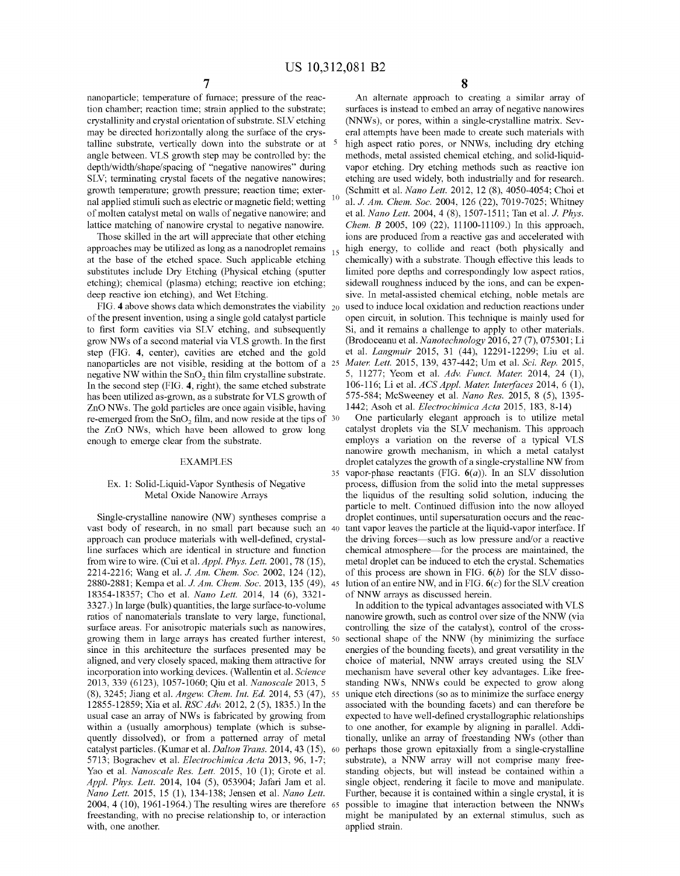nanoparticle; temperature of furnace; pressure of the reaction chamber; reaction time; strain applied to the substrate; crystallinity and crystal orientation of substrate. SLY etching may be directed horizontally along the surface of the crystalline substrate, vertically down into the substrate or at 5 angle between. VLS growth step may be controlled by: the depth/width/shape/spacing of "negative nanowires" during SLY; terminating crystal facets of the negative nanowires; growth temperature; growth pressure; reaction time; external applied stimuli such as electric or magnetic field; wetting <sup>10</sup> of molten catalyst metal on walls of negative nanowire; and lattice matching of nanowire crystal to negative nanowire.

Those skilled in the art will appreciate that other etching approaches may be utilized as long as a nanodroplet remains  $_{15}$ at the base of the etched space. Such applicable etching substitutes include Dry Etching (Physical etching (sputter etching); chemical (plasma) etching; reactive ion etching; deep reactive ion etching), and Wet Etching.

FIG. 4 above shows data which demonstrates the viability 20 of the present invention, using a single gold catalyst particle to first form cavities via SLY etching, and subsequently grow NW s of a second material via VLS growth. In the first step (FIG. **4,** center), cavities are etched and the gold nanoparticles are not visible, residing at the bottom of a 25 negative NW within the  $SnO<sub>2</sub>$  thin film crystalline substrate. In the second step (FIG. **4,** right), the same etched substrate has been utilized as-grown, as a substrate for VLS growth of ZnO NWs. The gold particles are once again visible, having re-emerged from the  $SnO<sub>2</sub>$  film, and now reside at the tips of 30 the ZnO NWs, which have been allowed to grow long enough to emerge clear from the substrate.

### EXAMPLES

### Ex. 1: Solid-Liquid-Vapor Synthesis of Negative Metal Oxide Nanowire Arrays

Single-crystalline nanowire (NW) syntheses comprise a vast body of research, in no small part because such an approach can produce materials with well-defined, crystalline surfaces which are identical in structure and function from wire to wire. (Cui et al. *Appl. Phys. Lett.* 2001, 78 (15), 2214-2216; Wang et al. *J. Am. Chem. Soc.* 2002, 124 (12), 2880-2881; Kempa et al. J. *Am. Chem. Soc.* 2013, 135 (49), 18354-18357; Cho et al. *Nano Lett.* 2014, 14 (6), 3321- 3327 .) In large (bulk) quantities, the large surface-to-volume ratios of nanomaterials translate to very large, functional, surface areas. For anisotropic materials such as nanowires, growing them in large arrays has created further interest, since in this architecture the surfaces presented may be aligned, and very closely spaced, making them attractive for incorporation into working devices. (Wallentin et al. *Science*  2013, 339 (6123), 1057-1060; Qiu et al. *Nanoscale* 2013, 5 (8), 3245; Jiang et al. *Angew. Chem. Int. Ed.* 2014, 53 (47), 12855-12859; Xia et al. *RSC Adv.* 2012, 2 (5), 1835.) In the usual case an array of NWs is fabricated by growing from within a (usually amorphous) template (which is subsequently dissolved), or from a patterned array of metal catalyst particles. (Kumar et al. *Dalton Trans.* 2014, 43 (15), 5713; Bograchev et al. *Electrochimica Acta* 2013, 96, 1-7; Yao et al. *Nanoscale Res. Lett.* 2015, 10 (1); Grote et al. *Appl. Phys. Lett.* 2014, 104 (5), 053904; Jafari Jam et al. *Nano Lett.* 2015, 15 (1), 134-138; Jensen et al. *Nano Lett.*  2004, 4 (10), 1961-1964.) The resulting wires are therefore freestanding, with no precise relationship to, or interaction with, one another.

**8** 

An alternate approach to creating a similar array of surfaces is instead to embed an array of negative nanowires (NNWs), or pores, within a single-crystalline matrix. Several attempts have been made to create such materials with high aspect ratio pores, or NNWs, including dry etching methods, metal assisted chemical etching, and solid-liquidvapor etching. Dry etching methods such as reactive ion etching are used widely, both industrially and for research. (Schmitt et al. *Nano Lett.* 2012, 12 (8), 4050-4054; Choi et al. J. *Am. Chem. Soc.* 2004, 126 (22), 7019-7025; Whitney et al. *Nano Lett.* 2004, 4 (8), 1507-1511; Tan et al. J. *Phys. Chem. B* 2005, 109 (22), 11100-11109.) In this approach, ions are produced from a reactive gas and accelerated with high energy, to collide and react (both physically and chemically) with a substrate. Though effective this leads to limited pore depths and correspondingly low aspect ratios, sidewall roughness induced by the ions, and can be expensive. In metal-assisted chemical etching, noble metals are used to induce local oxidation and reduction reactions under open circuit, in solution. This technique is mainly used for Si, and it remains a challenge to apply to other materials. (Brodoceanu et al. *Nanotechnology* 2016, 27 (7), 075301; Li et al. *Langmuir* 2015, 31 (44), 12291-12299; Liu et al. *Mater. Lett.* 2015, 139, 437-442; Um et al. *Sci. Rep.* 2015, 5, 11277; Yearn et al. *Adv. Funct. Mater.* 2014, 24 (1), 106-116; Li et al. *ACS Appl. Mater. Interfaces* 2014, 6 (1), 575-584; McSweeney et al. *Nano Res.* 2015, 8 (5), 1395- 1442; Asoh et al. *Electrochimica Acta* 2015, 183, 8-14)

One particularly elegant approach is to utilize metal catalyst droplets via the SLY mechanism. This approach employs a variation on the reverse of a typical VLS nanowire growth mechanism, in which a metal catalyst droplet catalyzes the growth of a single-crystalline NW from 35 vapor-phase reactants (FIG. **6(a)).** In an SLY dissolution process, diffusion from the solid into the metal suppresses the liquidus of the resulting solid solution, inducing the particle to melt. Continued diffusion into the now alloyed droplet continues, until supersaturation occurs and the reactant vapor leaves the particle at the liquid-vapor interface. If the driving forces—such as low pressure and/or a reactive chemical atmosphere-for the process are maintained, the metal droplet can be induced to etch the crystal. Schematics of this process are shown in FIG.  $6(b)$  for the SLV dissolution of an entire NW, and in FIG.  $6(c)$  for the SLV creation of NNW arrays as discussed herein.

In addition to the typical advantages associated with VLS nanowire growth, such as control over size of the NNW (via controlling the size of the catalyst), control of the crosssectional shape of the NNW (by minimizing the surface energies of the bounding facets), and great versatility in the choice of material, NNW arrays created using the SLY mechanism have several other key advantages. Like freestanding NWs, NNWs could be expected to grow along unique etch directions (so as to minimize the surface energy associated with the bounding facets) and can therefore be expected to have well-defined crystallographic relationships to one another, for example by aligning in parallel. Additionally, unlike an array of freestanding NWs (other than perhaps those grown epitaxially from a single-crystalline substrate), a NNW array will not comprise many freestanding objects, but will instead be contained within a single object, rendering it facile to move and manipulate. Further, because it is contained within a single crystal, it is possible to imagine that interaction between the NNWs might be manipulated by an external stimulus, such as applied strain.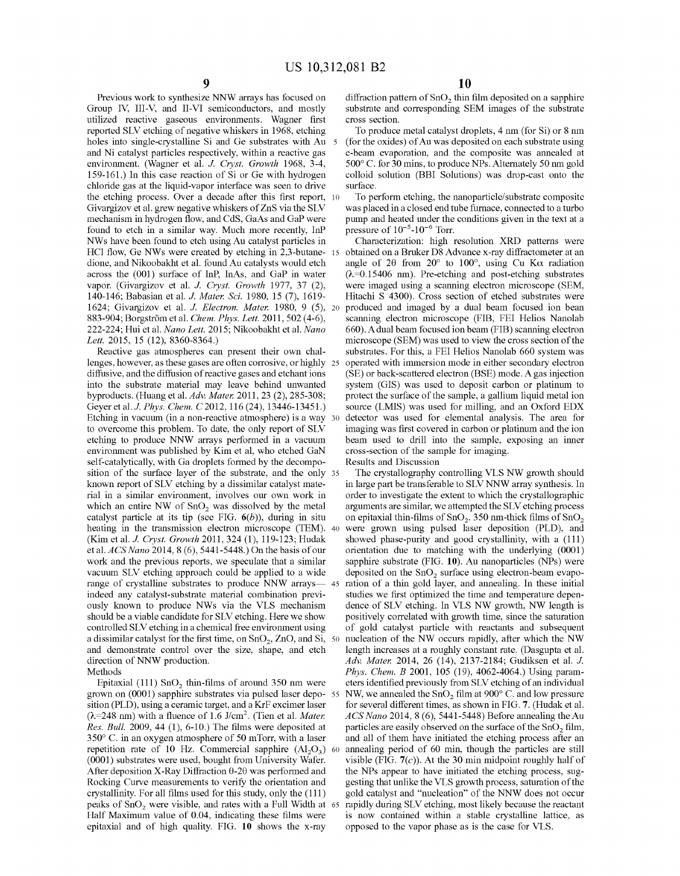Previous work to synthesize NNW arrays has focused on Group IV, III-V, and II-VI semiconductors, and mostly utilized reactive gaseous environments. Wagner first reported SLY etching of negative whiskers in 1968, etching holes into single-crystalline Si and Ge substrates with Au 5 and Ni catalyst particles respectively, within a reactive gas environment. (Wagner et al. *J. Cryst. Growth* 1968, 3-4, 159-161.) In this case reaction of Si or Ge with hydrogen chloride gas at the liquid-vapor interface was seen to drive the etching process. Over a decade after this first report, 10 Givargizov et al. grew negative whiskers of ZnS via the SLY mechanism in hydrogen flow, and CdS, GaAs and GaP were found to etch in a similar way. Much more recently, InP NWs have been found to etch using Au catalyst particles in HCl flow, Ge NWs were created by etching in 2,3-butane- 15 dione, and Nikoobakht et al. found Au catalysts would etch across the (001) surface of InP, InAs, and GaP in water vapor. (Givargizov et al. J. *Cryst. Growth* 1977, 37 (2), 140-146; Babasian et al. J. *Mater. Sci.* 1980, 15 (7), 1619- 1624; Givargizov et al. J. *Electron. Mater.* 1980, 9 (5), 20 883-904; Borgström et al. *Chem. Phys. Lett.* 2011, 502 (4-6), 222-224; Hui et al. *Nano Lett.* 2015; Nikoobakht et al. *Nano Lett.* 2015, 15 (12), 8360-8364.)

Reactive gas atmospheres can present their own challenges, however, as these gases are often corrosive, or highly 25 diffusive, and the diffusion of reactive gases and etchant ions into the substrate material may leave behind unwanted byproducts. (Huang et al. *Adv. Mater.* 2011, 23 (2), 285-308; Geyer et al. J. *Phys. Chem. C* 2012, 116 (24), 13446-13451.) Etching in vacuum (in a non-reactive atmosphere) is a way 30 to overcome this problem. To date, the only report of SLY etching to produce NNW arrays performed in a vacuum environment was published by Kim et al, who etched GaN self-catalytically, with Ga droplets formed by the decomposition of the surface layer of the substrate, and the only 35 known report of SLY etching by a dissimilar catalyst material in a similar environment, involves our own work in which an entire NW of  $SnO<sub>2</sub>$  was dissolved by the metal catalyst particle at its tip (see FIG.  $6(b)$ ), during in situ heating in the transmission electron microscope (TEM). 40 (Kim et al. *J. Cryst. Growth* 2011, 324 (1), 119-123; Hudak et al. *ACS Nano* 2014, 8 (6), 5441-5448.) On the basis ofour work and the previous reports, we speculate that a similar vacuum SLY etching approach could be applied to a wide range of crystalline substrates to produce NNW arrays- 45 indeed any catalyst-substrate material combination previously known to produce NWs via the VLS mechanism should be a viable candidate for SLY etching. Here we show controlled SLY etching in a chemical free environment using a dissimilar catalyst for the first time, on  $SnO<sub>2</sub>$ , ZnO, and Si, 50 and demonstrate control over the size, shape, and etch direction of NNW production. Methods

grown on (0001) sapphire substrates via pulsed laser deposition (PLD), using a ceramic target, and a KrF excimer laser  $(\lambda=248 \text{ nm})$  with a fluence of 1.6 J/cm<sup>2</sup>. (Tien et al. *Mater. Res. Bull.* 2009, 44 (1), 6-10.) The films were deposited at 350° C. in an oxygen atmosphere of 50 mTorr, with a laser repetition rate of 10 Hz. Commercial sapphire  $(Al_2O_3)$  60 (0001) substrates were used, bought from University Wafer. After deposition X-Ray Diffraction  $\theta$ -2 $\theta$  was performed and Rocking Curve measurements to verify the orientation and crystallinity. For all films used for this study, only the (111) peaks of SnO<sub>2</sub> were visible, and rates with a Full Width at 65 Half Maximum value of 0.04, indicating these films were epitaxial and of high quality. FIG. **10** shows the x-ray

**10** 

diffraction pattern of  $SnO<sub>2</sub>$  thin film deposited on a sapphire substrate and corresponding SEM images of the substrate cross section.

To produce metal catalyst droplets, 4 nm (for Si) or 8 nm (for the oxides) of Au was deposited on each substrate using e-beam evaporation, and the composite was amiealed at 500° C. for 30 mins, to produce NPs. Alternately 50 nm gold colloid solution (BBI Solutions) was drop-cast onto the surface.

To perform etching, the nanoparticle/substrate composite was placed in a closed end tube furnace, connected to a turbo pump and heated under the conditions given in the text at a pressure of  $10^{-5}$ - $10^{-6}$  Torr.

Characterization: high resolution XRD patterns were obtained on a Bruker D8 Advance x-ray diffractometer at an angle of 20 from 20 $^{\circ}$  to 100 $^{\circ}$ , using Cu K $\alpha$  radiation  $(\lambda=0.15406$  nm). Pre-etching and post-etching substrates were imaged using a scanning electron microscope (SEM, Hitachi S 4300). Cross section of etched substrates were produced and imaged by a dual beam focused ion bean scanning electron microscope (FIB, FEI Helios Nanolab 660). A dual beam focused ion beam (FIB) scanning electron microscope (SEM) was used to view the cross section of the substrates. For this, a FEI Helios Nanolab 660 system was operated with immersion mode in either secondary electron (SE) or back-scattered electron (BSE) mode. A gas injection system (GIS) was used to deposit carbon or platinum to protect the surface of the sample, a gallium liquid metal ion source (LMIS) was used for milling, and an Oxford EDX detector was used for elemental analysis. The area for imaging was first covered in carbon or platinum and the ion beam used to drill into the sample, exposing an inner cross-section of the sample for imaging.

Results and Discussion

The crystallography controlling VLS NW growth should in large part be transferable to SLY NNW array synthesis. In order to investigate the extent to which the crystallographic arguments are similar, we attempted the SLY etching process on epitaxial thin-films of  $SnO<sub>2</sub>$ . 350 nm-thick films of  $SnO<sub>2</sub>$ were grown using pulsed laser deposition (PLD), and showed phase-purity and good crystallinity, with a (111) orientation due to matching with the underlying (0001) sapphire substrate (FIG. **10).** Au nanoparticles (NPs) were deposited on the  $SnO<sub>2</sub>$  surface using electron-beam evaporation of a thin gold layer, and annealing. In these initial studies we first optimized the time and temperature dependence of SLY etching. In VLS NW growth, NW length is positively correlated with growth time, since the saturation of gold catalyst particle with reactants and subsequent nucleation of the NW occurs rapidly, after which the NW length increases at a roughly constant rate. (Dasgupta et al. *Adv. Mater.* 2014, 26 (14), 2137-2184; Gudiksen et al. J. *Phys. Chem. B* 2001, 105 (19), 4062-4064.) Using param-Epitaxial (111) SnO<sub>2</sub> thin-films of around 350 nm were eters identified previously from SLV etching of an individual NW, we annealed the SnO<sub>2</sub> film at 900° C. and low pressure for several different times, as shown in FIG. **7.** (Hudak et al. *ACS Nano* 2014, 8 (6), 5441-5448) Before amiealing the Au particles are easily observed on the surface of the  $SnO<sub>2</sub> film$ , and all of them have initiated the etching process after an annealing period of 60 min, though the particles are still visible (FIG.  $7(c)$ ). At the 30 min midpoint roughly half of the NPs appear to have initiated the etching process, suggesting that unlike the VLS growth process, saturation of the gold catalyst and "nucleation" of the NNW does not occur rapidly during SLV etching, most likely because the reactant is now contained within a stable crystalline lattice, as opposed to the vapor phase as is the case for VLS.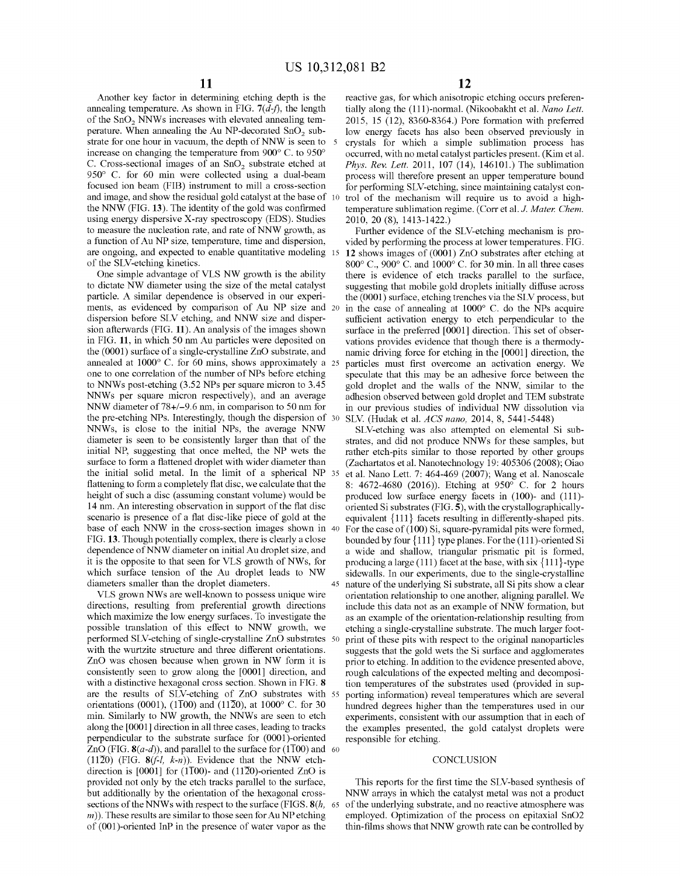Another key factor in determining etching depth is the annealing temperature. As shown in FIG.  $7(d-f)$ , the length of the SnO<sub>2</sub> NNWs increases with elevated annealing temperature. When annealing the Au NP-decorated  $SnO<sub>2</sub>$  substrate for one hour in vacuum, the depth of NNW is seen to 5 increase on changing the temperature from 900° C. to 950° C. Cross-sectional images of an  $SnO<sub>2</sub>$  substrate etched at 950° C. for 60 min were collected using a dual-beam focused ion beam (FIB) instrument to mill a cross-section and image, and show the residual gold catalyst at the base of 10 the NNW (FIG. **13).** The identity of the gold was confirmed using energy dispersive X-ray spectroscopy (EDS). Studies to measure the nucleation rate, and rate of NNW growth, as a function of Au NP size, temperature, time and dispersion, are ongoing, and expected to enable quantitative modeling 15 of the SLY-etching kinetics.

One simple advantage of YLS NW growth is the ability to dictate NW diameter using the size of the metal catalyst particle. A similar dependence is observed in our experiments, as evidenced by comparison of Au NP size and 20 dispersion before SLY etching, and NNW size and dispersion afterwards (FIG. **11).** An analysis of the images shown in FIG. **11,** in which 50 nm Au particles were deposited on the (0001) surface of a single-crystalline ZnO substrate, and annealed at 1000° C. for 60 mins, shows approximately a 25 one to one correlation of the number of NPs before etching to NNWs post-etching (3.52 NPs per square micron to 3.45 NNWs per square micron respectively), and an average NNW diameter of 78+/-9.6 nm, in comparison to 50 nm for the pre-etching NPs. Interestingly, though the dispersion of 30 NNWs, is close to the initial NPs, the average NNW diameter is seen to be consistently larger than that of the initial NP, suggesting that once melted, the NP wets the surface to form a flattened droplet with wider diameter than the initial solid metal. In the limit of a spherical NP 35 flattening to form a completely flat disc, we calculate that the height of such a disc (assuming constant volume) would be 14 nm. An interesting observation in support of the flat disc scenario is presence of a flat disc-like piece of gold at the base of each NNW in the cross-section images shown in 40 FIG. **13.** Though potentially complex, there is clearly a close dependence of NNW diameter on initial Au droplet size, and it is the opposite to that seen for VLS growth of NWs, for which surface tension of the Au droplet leads to NW

YLS grown NWs are well-known to possess unique wire directions, resulting from preferential growth directions which maximize the low energy surfaces. To investigate the possible translation of this effect to NNW growth, we performed SLY-etching of single-crystalline ZnO substrates 50 with the wurtzite structure and three different orientations. ZnO was chosen because when grown in NW form it is consistently seen to grow along the [0001] direction, and with a distinctive hexagonal cross section. Shown in FIG. **8**  are the results of SLY-etching of ZnO substrates with 55 orientations (0001), (1 $\overline{100}$ ) and (11 $\overline{20}$ ), at 1000° C. for 30 min. Similarly to NW growth, the NNWs are seen to etch along the [0001] direction in all three cases, leading to tracks perpendicular to the substrate surface for (0001)-oriented ZnO (FIG.  $8(a-d)$ ), and parallel to the surface for (1T00) and 60 (1120) (FIG.  $8(f-l, k-n)$ ). Evidence that the NNW etchdirection is [0001] for (1T00)- and (11 $\overline{2}0$ )-oriented ZnO is provided not only by the etch tracks parallel to the surface, but additionally by the orientation of the hexagonal crosssections of the NNWs with respect to the surface (FIGS. **S(h,** <sup>65</sup>  $(m)$ ). These results are similar to those seen for Au NP etching of (001 )-oriented InP in the presence of water vapor as the

reactive gas, for which anisotropic etching occurs preferentially along the (111)-normal. (Nikoobakht et al. *Nano Lett.*  2015, 15 (12), 8360-8364.) Pore formation with preferred low energy facets has also been observed previously in crystals for which a simple sublimation process has occurred, with no metal catalyst particles present. (Kim et al. *Phys. Rev. Lett.* 2011, 107 (14), 146101.) The sublimation process will therefore present an upper temperature bound for performing SLY-etching, since maintaining catalyst control of the mechanism will require us to avoid a hightemperature sublimation regime. (Corr et al. J. *Mater. Chem.*  2010, 20 (8), 1413-1422.)

Further evidence of the SLY-etching mechanism is provided by performing the process at lower temperatures. FIG. **12** shows images of (0001) ZnO substrates after etching at 800° C., 900° C. and 1000° C. for 30 min. In all three cases there is evidence of etch tracks parallel to the surface, suggesting that mobile gold droplets initially diffuse across the (0001) surface, etching trenches via the SLY process, but in the case of annealing at 1000° C. do the NPs acquire sufficient activation energy to etch perpendicular to the surface in the preferred [0001] direction. This set of observations provides evidence that though there is a thermodynamic driving force for etching in the [0001] direction, the particles must first overcome an activation energy. We speculate that this may be an adhesive force between the gold droplet and the walls of the NNW, similar to the adhesion observed between gold droplet and TEM substrate in our previous studies of individual NW dissolution via SLY. (Hudak et al. *ACS nano,* 2014, 8, 5441-5448)

SLY-etching was also attempted on elemental Si substrates, and did not produce NNWs for these samples, but rather etch-pits similar to those reported by other groups (Zachartatos et al. Nanotechnology 19: 405306 (2008); Oiao et al. Nano Lett. 7: 464-469 (2007); Wang et al. Nanoscale 8: 4672-4680 (2016)). Etching at 950° C. for 2 hours produced low surface energy facets in (100)- and (111) oriented Si substrates (FIG. **5),** with the crystallographicallyequivalent { 111} facets resulting in differently-shaped pits. For the case of (100) Si, square-pyramidal pits were formed, bounded by four { 111} type planes. For the (111 )-oriented Si a wide and shallow, triangular prismatic pit is formed, producing a large  $(111)$  facet at the base, with six  $\{111\}$ -type sidewalls. In our experiments, due to the single-crystalline diameters smaller than the droplet diameters. 45 nature of the underlying Si substrate, all Si pits show a clear orientation relationship to one another, aligning parallel. We include this data not as an example of NNW formation, but as an example of the orientation-relationship resulting from etching a single-crystalline substrate. The much larger footprint of these pits with respect to the original nanoparticles suggests that the gold wets the Si surface and agglomerates prior to etching. In addition to the evidence presented above, rough calculations of the expected melting and decomposition temperatures of the substrates used (provided in supporting information) reveal temperatures which are several hundred degrees higher than the temperatures used in our experiments, consistent with our assumption that in each of the examples presented, the gold catalyst droplets were responsible for etching.

### **CONCLUSION**

This reports for the first time the SLY-based synthesis of NNW arrays in which the catalyst metal was not a product of the underlying substrate, and no reactive atmosphere was employed. Optimization of the process on epitaxial SnO2 thin-films shows that NNW growth rate can be controlled by